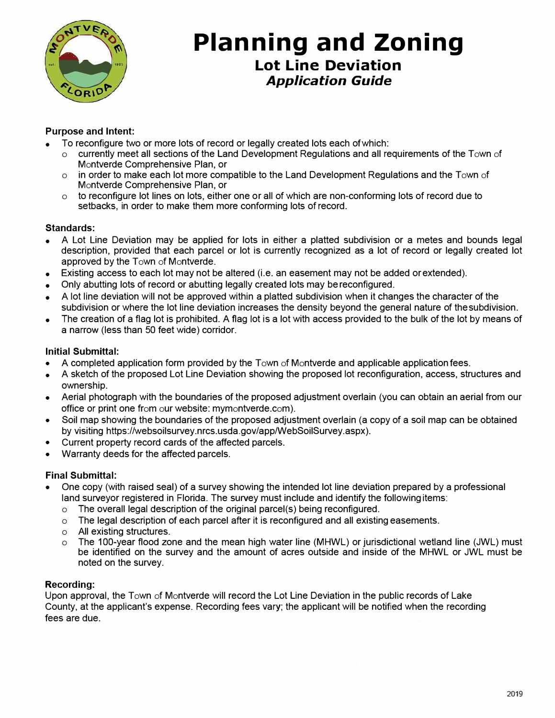

## **Planning and Zoning Lot Line Deviation**  *Application Guide*

#### **Purpose and Intent:**

- To reconfigure two or more lots of record or legally created lots each of which:
	- o currently meet all sections of the Land Development Regulations and all requirements of the Town of Montverde Comprehensive Plan, or
	- $\circ$  in order to make each lot more compatible to the Land Development Regulations and the Town of Montverde Comprehensive Plan, or
	- $\circ$  to reconfigure lot lines on lots, either one or all of which are non-conforming lots of record due to setbacks, in order to make them more conforming lots of record.

#### **Standards:**

- A Lot Line Deviation may be applied for lots in either a platted subdivision or a metes and bounds legal description, provided that each parcel or lot is currently recognized as a lot of record or legally created lot approved by the Town of Montverde.
- Existing access to each lot may not be altered (i.e. an easement may not be added or extended).
- Only abutting lots of record or abutting legally created lots may be reconfigured.
- A lot line deviation will not be approved within a platted subdivision when it changes the character of the subdivision or where the lot line deviation increases the density beyond the general nature of the subdivision.
- The creation of a flag lot is prohibited. A flag lot is a lot with access provided to the bulk of the lot by means of a narrow (less than 50 feet wide) corridor.

#### **Initial Submittal:**

- A completed application form provided by the Town of Montverde and applicable application fees.
- A sketch of the proposed Lot Line Deviation showing the proposed lot reconfiguration, access, structures and ownership.
- Aerial photograph with the boundaries of the proposed adjustment overlain (you can obtain an aerial from our office or print one from our website: mymontverde.com).
- Soil map showing the boundaries of the proposed adjustment overlain (a copy of a soil map can be obtained by visiting https://websoilsurvey.nrcs.usda.gov/app/WebSoilSurvey.aspx).
- Current property record cards of the affected parcels .
- Warranty deeds for the affected parcels.

#### **Final Submittal:**

- One copy (with raised seal) of a survey showing the intended lot line deviation prepared by a professional land surveyor registered in Florida. The survey must include and identify the following items:
	- o The overall legal description of the original parcel(s) being reconfigured.
	- $\circ$  The legal description of each parcel after it is reconfigured and all existing easements.
	- o All existing structures.
	- o The 100-year flood zone and the mean high water line (MHWL) or jurisdictional wetland line (JWL) must be identified on the survey and the amount of acres outside and inside of the MHWL or JWL must be noted on the survey.

#### **Recording:**

Upon approval, the Town of Montverde will record the Lot Line Deviation in the public records of Lake County, at the applicant's expense. Recording fees vary; the applicant will be notified when the recording fees are due.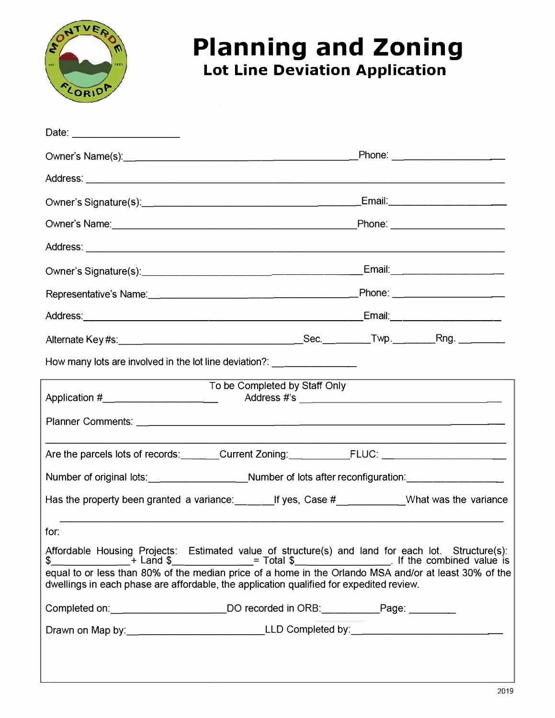

## **Planning and Zoning Lot Line Deviation Application**

| Date: _______________________                                                    |                                                                                                                                                                                                                   |
|----------------------------------------------------------------------------------|-------------------------------------------------------------------------------------------------------------------------------------------------------------------------------------------------------------------|
|                                                                                  |                                                                                                                                                                                                                   |
|                                                                                  |                                                                                                                                                                                                                   |
|                                                                                  |                                                                                                                                                                                                                   |
|                                                                                  |                                                                                                                                                                                                                   |
|                                                                                  |                                                                                                                                                                                                                   |
|                                                                                  |                                                                                                                                                                                                                   |
|                                                                                  |                                                                                                                                                                                                                   |
|                                                                                  | _Email:________________________                                                                                                                                                                                   |
|                                                                                  |                                                                                                                                                                                                                   |
| How many lots are involved in the lot line deviation?: _________________________ |                                                                                                                                                                                                                   |
| Application #_______________________                                             | To be Completed by Staff Only                                                                                                                                                                                     |
|                                                                                  |                                                                                                                                                                                                                   |
|                                                                                  | Are the parcels lots of records:_______Current Zoning:____________FLUC: ____________________________                                                                                                              |
|                                                                                  | Number of original lots: ____________________Number of lots after reconfiguration: ________________                                                                                                               |
|                                                                                  | Has the property been granted a variance: _____________If yes, Case #_______________What was the variance                                                                                                         |
| for:                                                                             |                                                                                                                                                                                                                   |
|                                                                                  | Affordable Housing Projects: Estimated value of structure(s) and land for each lot. Structure(s):<br>\$__________________+ Land \$______________= Total \$______________________________ If the combined value is |
|                                                                                  | equal to or less than 80% of the median price of a home in the Orlando MSA and/or at least 30% of the<br>dwellings in each phase are affordable, the application qualified for expedited review.                  |
|                                                                                  | Completed on: _______________________DO recorded in ORB: ___________Page: ________                                                                                                                                |
|                                                                                  |                                                                                                                                                                                                                   |
|                                                                                  |                                                                                                                                                                                                                   |